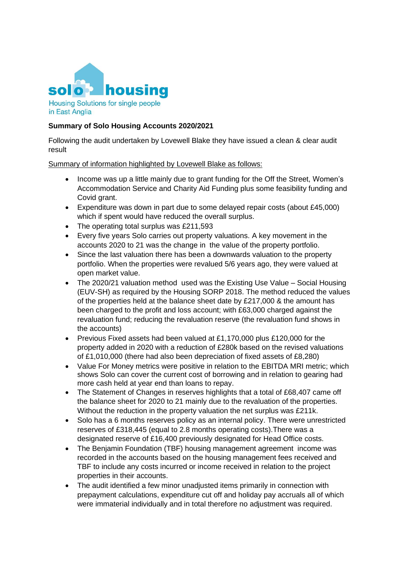

## **Summary of Solo Housing Accounts 2020/2021**

Following the audit undertaken by Lovewell Blake they have issued a clean & clear audit result

Summary of information highlighted by Lovewell Blake as follows:

- Income was up a little mainly due to grant funding for the Off the Street, Women's Accommodation Service and Charity Aid Funding plus some feasibility funding and Covid grant.
- Expenditure was down in part due to some delayed repair costs (about £45,000) which if spent would have reduced the overall surplus.
- The operating total surplus was £211,593
- Every five years Solo carries out property valuations. A key movement in the accounts 2020 to 21 was the change in the value of the property portfolio.
- Since the last valuation there has been a downwards valuation to the property portfolio. When the properties were revalued 5/6 years ago, they were valued at open market value.
- The 2020/21 valuation method used was the Existing Use Value Social Housing (EUV-SH) as required by the Housing SORP 2018. The method reduced the values of the properties held at the balance sheet date by £217,000 & the amount has been charged to the profit and loss account; with £63,000 charged against the revaluation fund; reducing the revaluation reserve (the revaluation fund shows in the accounts)
- Previous Fixed assets had been valued at £1,170,000 plus £120,000 for the property added in 2020 with a reduction of £280k based on the revised valuations of £1,010,000 (there had also been depreciation of fixed assets of £8,280)
- Value For Money metrics were positive in relation to the EBITDA MRI metric; which shows Solo can cover the current cost of borrowing and in relation to gearing had more cash held at year end than loans to repay.
- The Statement of Changes in reserves highlights that a total of £68,407 came off the balance sheet for 2020 to 21 mainly due to the revaluation of the properties. Without the reduction in the property valuation the net surplus was £211k.
- Solo has a 6 months reserves policy as an internal policy. There were unrestricted reserves of £318,445 (equal to 2.8 months operating costs).There was a designated reserve of £16,400 previously designated for Head Office costs.
- The Benjamin Foundation (TBF) housing management agreement income was recorded in the accounts based on the housing management fees received and TBF to include any costs incurred or income received in relation to the project properties in their accounts.
- The audit identified a few minor unadjusted items primarily in connection with prepayment calculations, expenditure cut off and holiday pay accruals all of which were immaterial individually and in total therefore no adjustment was required.